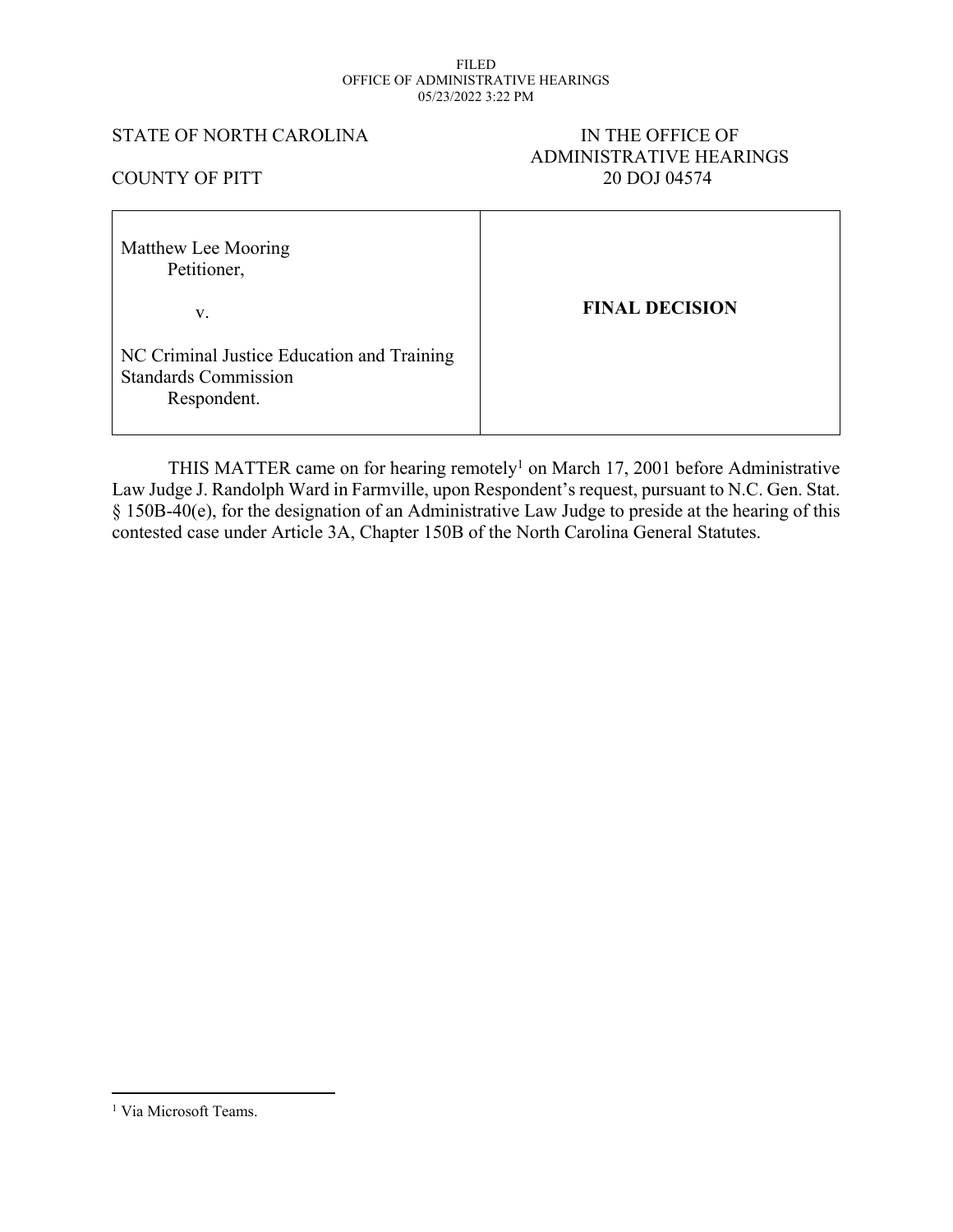#### FILED OFFICE OF ADMINISTRATIVE HEARINGS 05/23/2022 3:22 PM

## STATE OF NORTH CAROLINA IN THE OFFICE OF

# ADMINISTRATIVE HEARINGS COUNTY OF PITT 20 DOJ 04574

| Matthew Lee Mooring<br>Petitioner,                                                       |                       |
|------------------------------------------------------------------------------------------|-----------------------|
| V.                                                                                       | <b>FINAL DECISION</b> |
| NC Criminal Justice Education and Training<br><b>Standards Commission</b><br>Respondent. |                       |

THIS MATTER came on for hearing remotely<sup>1</sup> on March 17, 2001 before Administrative Law Judge J. Randolph Ward in Farmville, upon Respondent's request, pursuant to N.C. Gen. Stat. § 150B-40(e), for the designation of an Administrative Law Judge to preside at the hearing of this contested case under Article 3A, Chapter 150B of the North Carolina General Statutes.

<sup>&</sup>lt;sup>1</sup> Via Microsoft Teams.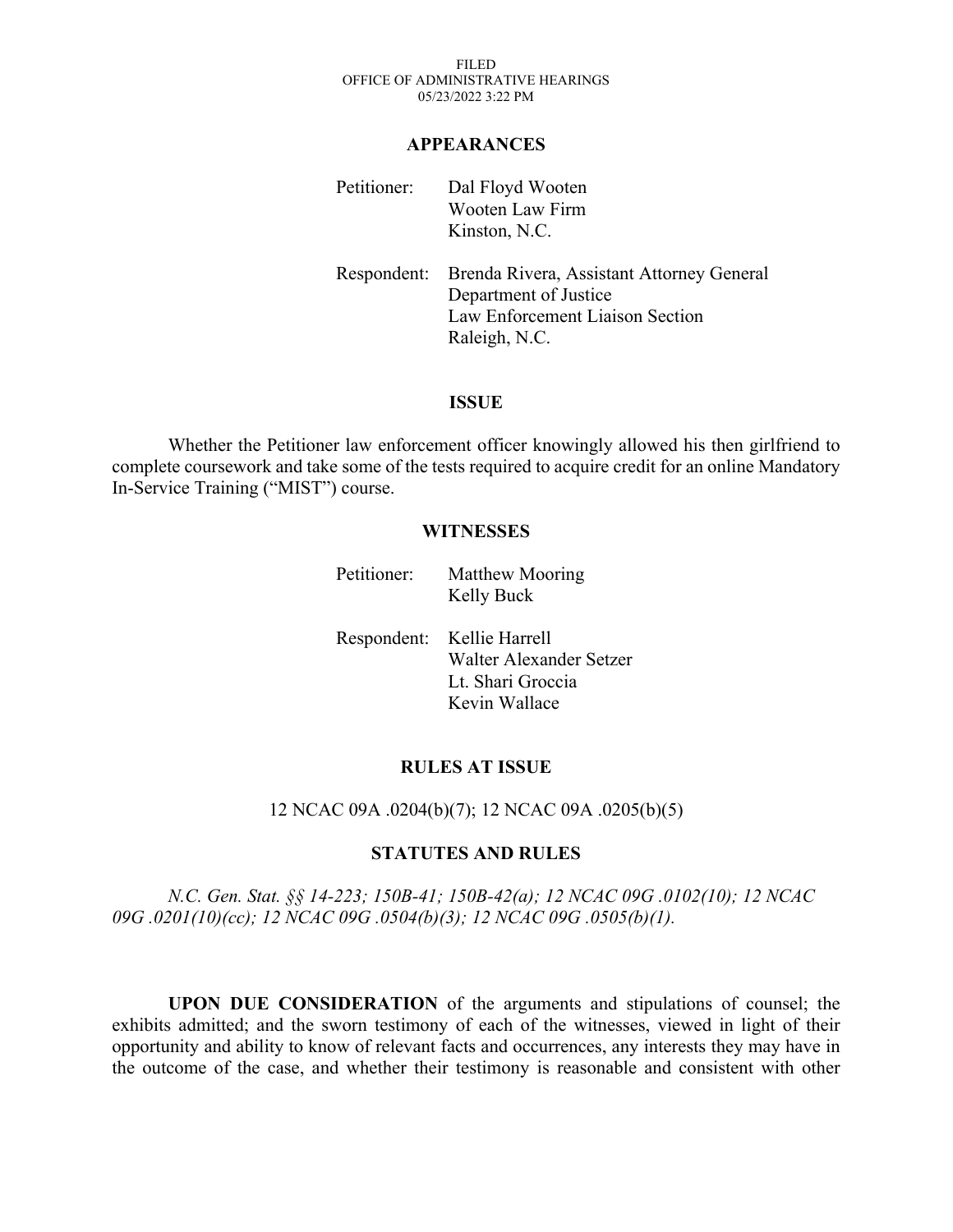FILED OFFICE OF ADMINISTRATIVE HEARINGS 05/23/2022 3:22 PM

#### **APPEARANCES**

| Petitioner: | Dal Floyd Wooten<br><b>Wooten Law Firm</b><br>Kinston, N.C.                                                                        |
|-------------|------------------------------------------------------------------------------------------------------------------------------------|
|             | Respondent: Brenda Rivera, Assistant Attorney General<br>Department of Justice<br>Law Enforcement Liaison Section<br>Raleigh, N.C. |

## **ISSUE**

Whether the Petitioner law enforcement officer knowingly allowed his then girlfriend to complete coursework and take some of the tests required to acquire credit for an online Mandatory In-Service Training ("MIST") course.

### **WITNESSES**

Petitioner: Matthew Mooring Kelly Buck

Respondent: Kellie Harrell Walter Alexander Setzer Lt. Shari Groccia Kevin Wallace

#### **RULES AT ISSUE**

#### 12 NCAC 09A .0204(b)(7); 12 NCAC 09A .0205(b)(5)

## **STATUTES AND RULES**

*N.C. Gen. Stat. §§ 14-223; 150B-41; 150B-42(a); 12 NCAC 09G .0102(10); 12 NCAC 09G .0201(10)(cc); 12 NCAC 09G .0504(b)(3); 12 NCAC 09G .0505(b)(1).*

**UPON DUE CONSIDERATION** of the arguments and stipulations of counsel; the exhibits admitted; and the sworn testimony of each of the witnesses, viewed in light of their opportunity and ability to know of relevant facts and occurrences, any interests they may have in the outcome of the case, and whether their testimony is reasonable and consistent with other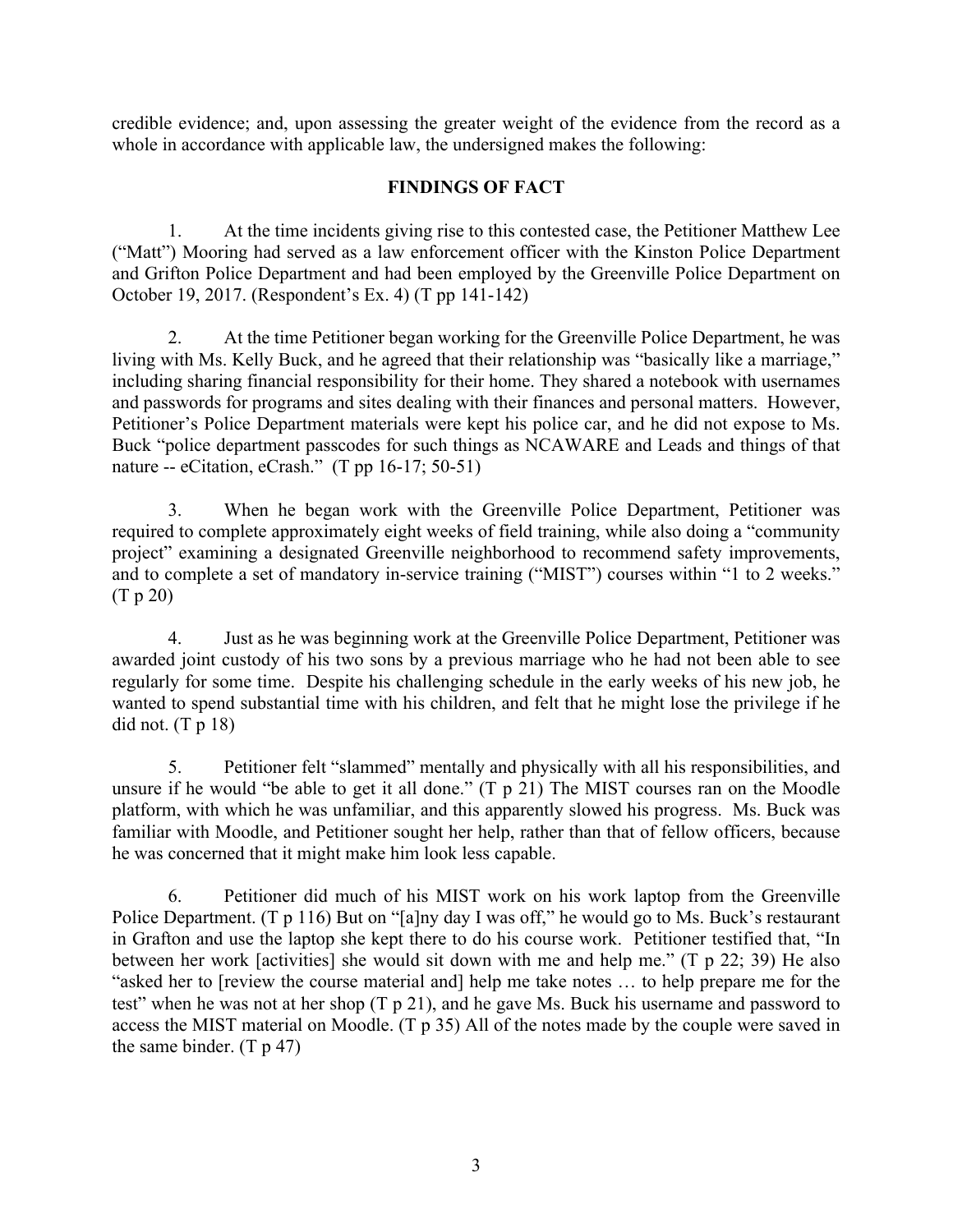credible evidence; and, upon assessing the greater weight of the evidence from the record as a whole in accordance with applicable law, the undersigned makes the following:

## **FINDINGS OF FACT**

1. At the time incidents giving rise to this contested case, the Petitioner Matthew Lee ("Matt") Mooring had served as a law enforcement officer with the Kinston Police Department and Grifton Police Department and had been employed by the Greenville Police Department on October 19, 2017. (Respondent's Ex. 4) (T pp 141-142)

2. At the time Petitioner began working for the Greenville Police Department, he was living with Ms. Kelly Buck, and he agreed that their relationship was "basically like a marriage," including sharing financial responsibility for their home. They shared a notebook with usernames and passwords for programs and sites dealing with their finances and personal matters. However, Petitioner's Police Department materials were kept his police car, and he did not expose to Ms. Buck "police department passcodes for such things as NCAWARE and Leads and things of that nature -- eCitation, eCrash." (T pp 16-17; 50-51)

3. When he began work with the Greenville Police Department, Petitioner was required to complete approximately eight weeks of field training, while also doing a "community project" examining a designated Greenville neighborhood to recommend safety improvements, and to complete a set of mandatory in-service training ("MIST") courses within "1 to 2 weeks." (T p 20)

4. Just as he was beginning work at the Greenville Police Department, Petitioner was awarded joint custody of his two sons by a previous marriage who he had not been able to see regularly for some time. Despite his challenging schedule in the early weeks of his new job, he wanted to spend substantial time with his children, and felt that he might lose the privilege if he did not.  $(T p 18)$ 

5. Petitioner felt "slammed" mentally and physically with all his responsibilities, and unsure if he would "be able to get it all done." (T p 21) The MIST courses ran on the Moodle platform, with which he was unfamiliar, and this apparently slowed his progress. Ms. Buck was familiar with Moodle, and Petitioner sought her help, rather than that of fellow officers, because he was concerned that it might make him look less capable.

6. Petitioner did much of his MIST work on his work laptop from the Greenville Police Department. (T p 116) But on "[a]ny day I was off," he would go to Ms. Buck's restaurant in Grafton and use the laptop she kept there to do his course work. Petitioner testified that, "In between her work [activities] she would sit down with me and help me." (T p 22; 39) He also "asked her to [review the course material and] help me take notes … to help prepare me for the test" when he was not at her shop (T p 21), and he gave Ms. Buck his username and password to access the MIST material on Moodle. (T p 35) All of the notes made by the couple were saved in the same binder.  $(T p 47)$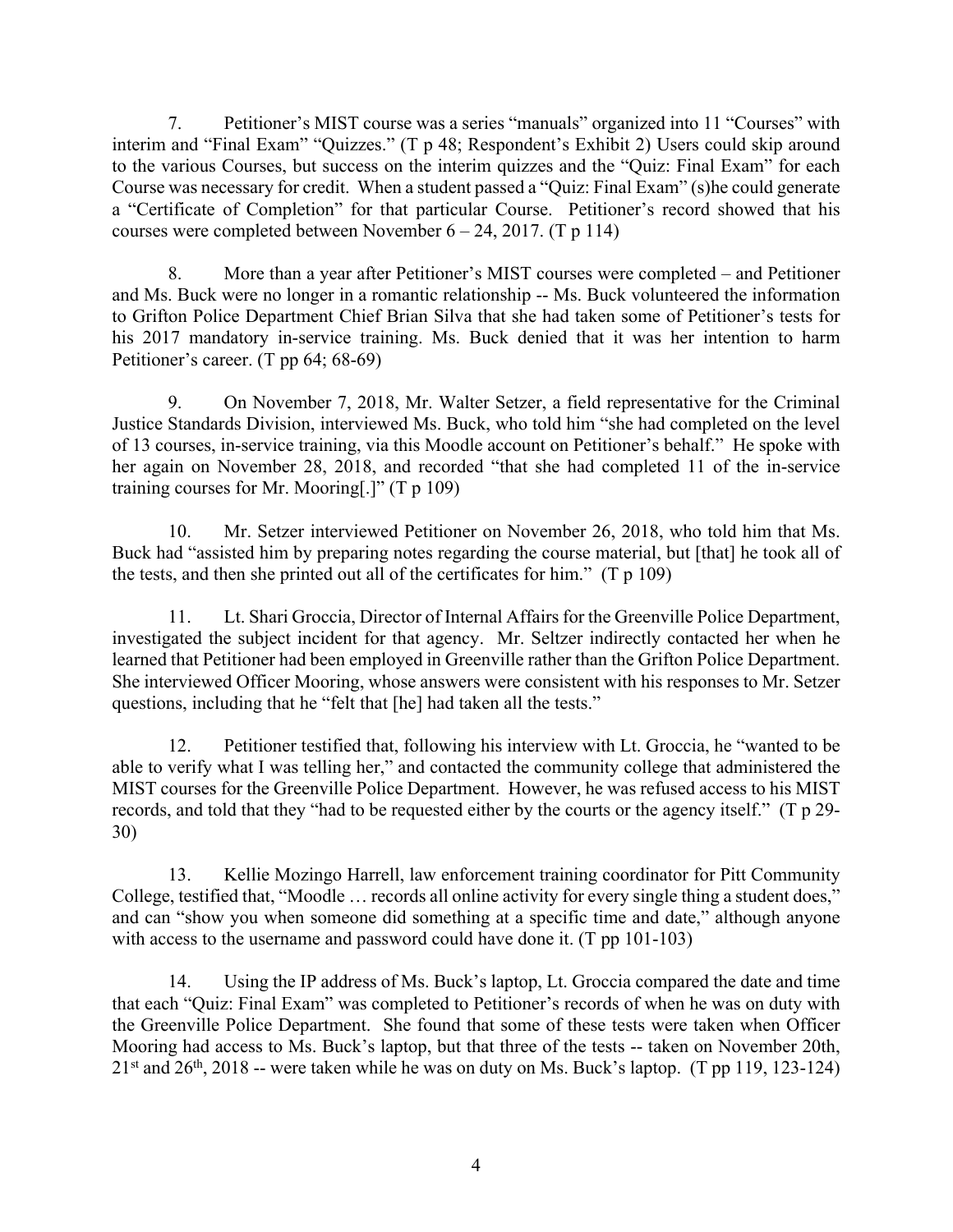7. Petitioner's MIST course was a series "manuals" organized into 11 "Courses" with interim and "Final Exam" "Quizzes." (T p 48; Respondent's Exhibit 2) Users could skip around to the various Courses, but success on the interim quizzes and the "Quiz: Final Exam" for each Course was necessary for credit. When a student passed a "Quiz: Final Exam" (s)he could generate a "Certificate of Completion" for that particular Course. Petitioner's record showed that his courses were completed between November  $6 - 24$ , 2017. (T p 114)

8. More than a year after Petitioner's MIST courses were completed – and Petitioner and Ms. Buck were no longer in a romantic relationship -- Ms. Buck volunteered the information to Grifton Police Department Chief Brian Silva that she had taken some of Petitioner's tests for his 2017 mandatory in-service training. Ms. Buck denied that it was her intention to harm Petitioner's career. (T pp 64; 68-69)

9. On November 7, 2018, Mr. Walter Setzer, a field representative for the Criminal Justice Standards Division, interviewed Ms. Buck, who told him "she had completed on the level of 13 courses, in-service training, via this Moodle account on Petitioner's behalf." He spoke with her again on November 28, 2018, and recorded "that she had completed 11 of the in-service training courses for Mr. Mooring[.]" (T p 109)

10. Mr. Setzer interviewed Petitioner on November 26, 2018, who told him that Ms. Buck had "assisted him by preparing notes regarding the course material, but [that] he took all of the tests, and then she printed out all of the certificates for him." (T p 109)

11. Lt. Shari Groccia, Director of Internal Affairs for the Greenville Police Department, investigated the subject incident for that agency. Mr. Seltzer indirectly contacted her when he learned that Petitioner had been employed in Greenville rather than the Grifton Police Department. She interviewed Officer Mooring, whose answers were consistent with his responses to Mr. Setzer questions, including that he "felt that [he] had taken all the tests."

12. Petitioner testified that, following his interview with Lt. Groccia, he "wanted to be able to verify what I was telling her," and contacted the community college that administered the MIST courses for the Greenville Police Department. However, he was refused access to his MIST records, and told that they "had to be requested either by the courts or the agency itself." (T p 29- 30)

13. Kellie Mozingo Harrell, law enforcement training coordinator for Pitt Community College, testified that, "Moodle … records all online activity for every single thing a student does," and can "show you when someone did something at a specific time and date," although anyone with access to the username and password could have done it. (T pp 101-103)

14. Using the IP address of Ms. Buck's laptop, Lt. Groccia compared the date and time that each "Quiz: Final Exam" was completed to Petitioner's records of when he was on duty with the Greenville Police Department. She found that some of these tests were taken when Officer Mooring had access to Ms. Buck's laptop, but that three of the tests -- taken on November 20th,  $21<sup>st</sup>$  and  $26<sup>th</sup>$ ,  $2018$  -- were taken while he was on duty on Ms. Buck's laptop. (T pp 119, 123-124)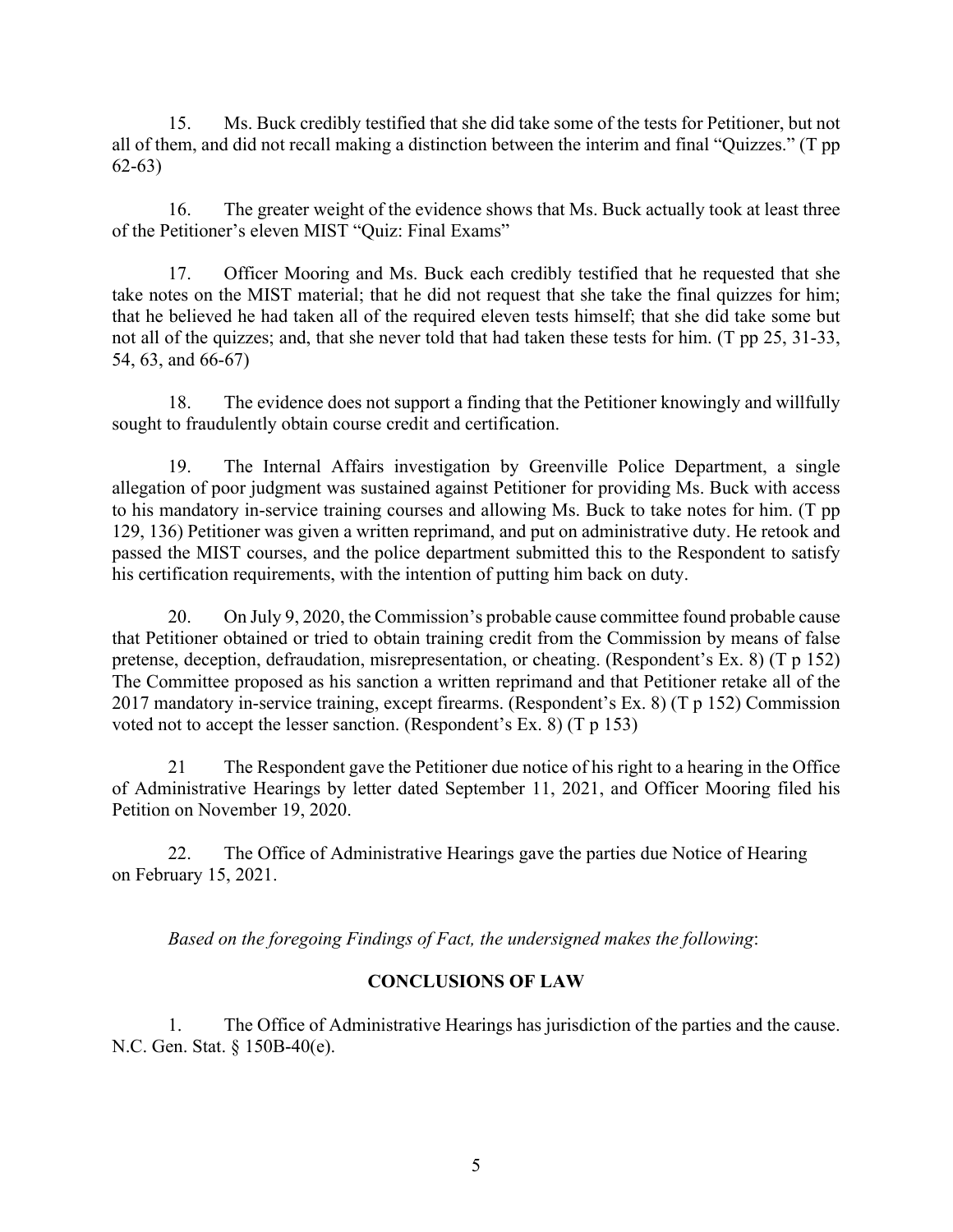15. Ms. Buck credibly testified that she did take some of the tests for Petitioner, but not all of them, and did not recall making a distinction between the interim and final "Quizzes." (T pp 62-63)

16. The greater weight of the evidence shows that Ms. Buck actually took at least three of the Petitioner's eleven MIST "Quiz: Final Exams"

17. Officer Mooring and Ms. Buck each credibly testified that he requested that she take notes on the MIST material; that he did not request that she take the final quizzes for him; that he believed he had taken all of the required eleven tests himself; that she did take some but not all of the quizzes; and, that she never told that had taken these tests for him. (T pp 25, 31-33, 54, 63, and 66-67)

18. The evidence does not support a finding that the Petitioner knowingly and willfully sought to fraudulently obtain course credit and certification.

19. The Internal Affairs investigation by Greenville Police Department, a single allegation of poor judgment was sustained against Petitioner for providing Ms. Buck with access to his mandatory in-service training courses and allowing Ms. Buck to take notes for him. (T pp 129, 136) Petitioner was given a written reprimand, and put on administrative duty. He retook and passed the MIST courses, and the police department submitted this to the Respondent to satisfy his certification requirements, with the intention of putting him back on duty.

20. On July 9, 2020, the Commission's probable cause committee found probable cause that Petitioner obtained or tried to obtain training credit from the Commission by means of false pretense, deception, defraudation, misrepresentation, or cheating. (Respondent's Ex. 8) (T p 152) The Committee proposed as his sanction a written reprimand and that Petitioner retake all of the 2017 mandatory in-service training, except firearms. (Respondent's Ex. 8) (T p 152) Commission voted not to accept the lesser sanction. (Respondent's Ex. 8) (T p 153)

21 The Respondent gave the Petitioner due notice of his right to a hearing in the Office of Administrative Hearings by letter dated September 11, 2021, and Officer Mooring filed his Petition on November 19, 2020.

22. The Office of Administrative Hearings gave the parties due Notice of Hearing on February 15, 2021.

*Based on the foregoing Findings of Fact, the undersigned makes the following*:

## **CONCLUSIONS OF LAW**

1. The Office of Administrative Hearings has jurisdiction of the parties and the cause. N.C. Gen. Stat. § 150B-40(e).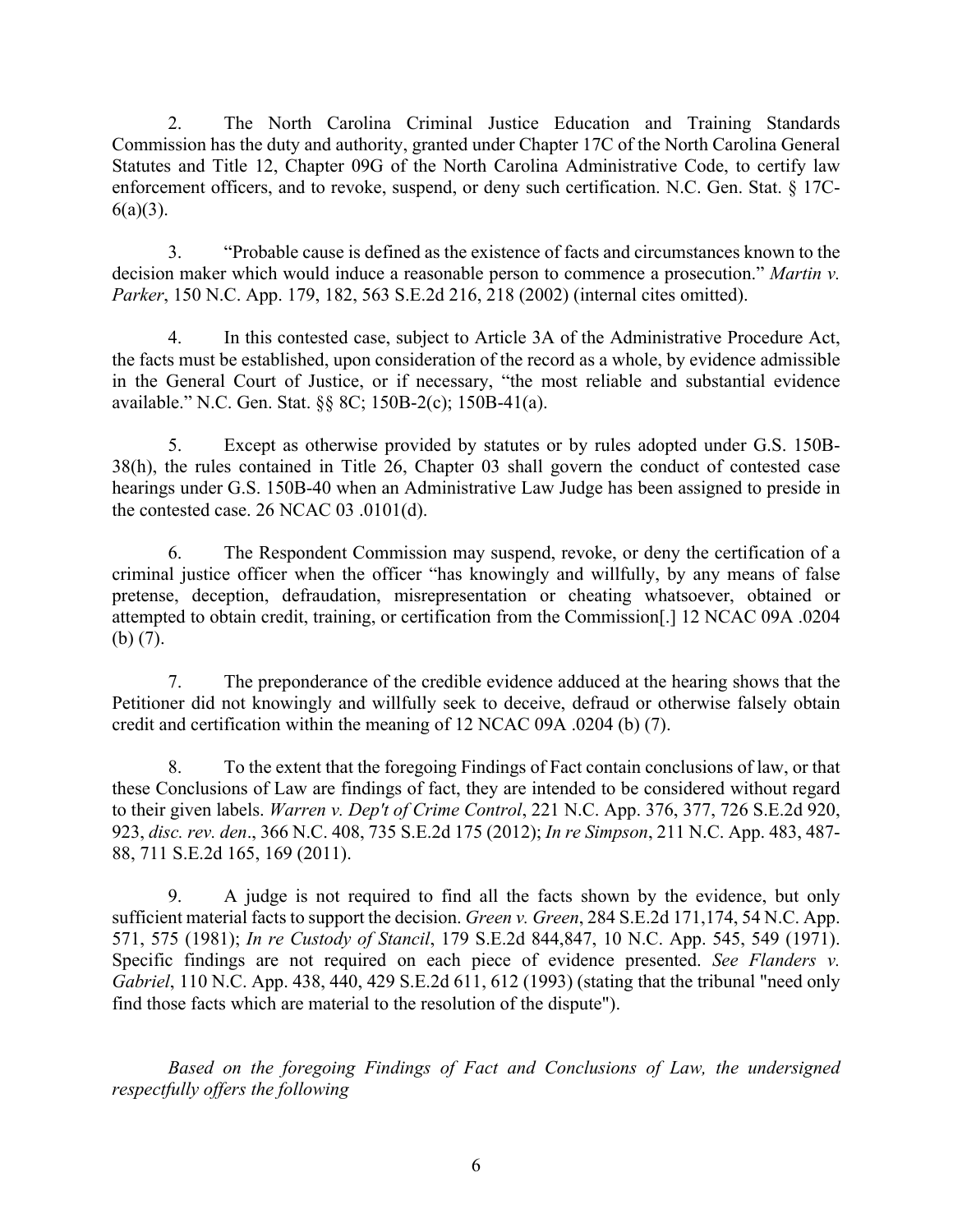2. The North Carolina Criminal Justice Education and Training Standards Commission has the duty and authority, granted under Chapter 17C of the North Carolina General Statutes and Title 12, Chapter 09G of the North Carolina Administrative Code, to certify law enforcement officers, and to revoke, suspend, or deny such certification. N.C. Gen. Stat. § 17C- $6(a)(3)$ .

3. "Probable cause is defined as the existence of facts and circumstances known to the decision maker which would induce a reasonable person to commence a prosecution." *Martin v. Parker*, 150 N.C. App. 179, 182, 563 S.E.2d 216, 218 (2002) (internal cites omitted).

4. In this contested case, subject to Article 3A of the Administrative Procedure Act, the facts must be established, upon consideration of the record as a whole, by evidence admissible in the General Court of Justice, or if necessary, "the most reliable and substantial evidence available." N.C. Gen. Stat. §§ 8C; 150B-2(c); 150B-41(a).

5. Except as otherwise provided by statutes or by rules adopted under G.S. 150B-38(h), the rules contained in Title 26, Chapter 03 shall govern the conduct of contested case hearings under G.S. 150B-40 when an Administrative Law Judge has been assigned to preside in the contested case. 26 NCAC 03 .0101(d).

6. The Respondent Commission may suspend, revoke, or deny the certification of a criminal justice officer when the officer "has knowingly and willfully, by any means of false pretense, deception, defraudation, misrepresentation or cheating whatsoever, obtained or attempted to obtain credit, training, or certification from the Commission[.] 12 NCAC 09A .0204 (b) (7).

7. The preponderance of the credible evidence adduced at the hearing shows that the Petitioner did not knowingly and willfully seek to deceive, defraud or otherwise falsely obtain credit and certification within the meaning of 12 NCAC 09A .0204 (b) (7).

8. To the extent that the foregoing Findings of Fact contain conclusions of law, or that these Conclusions of Law are findings of fact, they are intended to be considered without regard to their given labels. *Warren v. Dep't of Crime Control*, 221 N.C. App. 376, 377, 726 S.E.2d 920, 923, *disc. rev. den*., 366 N.C. 408, 735 S.E.2d 175 (2012); *In re Simpson*, 211 N.C. App. 483, 487- 88, 711 S.E.2d 165, 169 (2011).

9. A judge is not required to find all the facts shown by the evidence, but only sufficient material facts to support the decision. *Green v. Green*, 284 S.E.2d 171,174, 54 N.C. App. 571, 575 (1981); *In re Custody of Stancil*, 179 S.E.2d 844,847, 10 N.C. App. 545, 549 (1971). Specific findings are not required on each piece of evidence presented. *See Flanders v. Gabriel*, 110 N.C. App. 438, 440, 429 S.E.2d 611, 612 (1993) (stating that the tribunal "need only find those facts which are material to the resolution of the dispute").

*Based on the foregoing Findings of Fact and Conclusions of Law, the undersigned respectfully offers the following*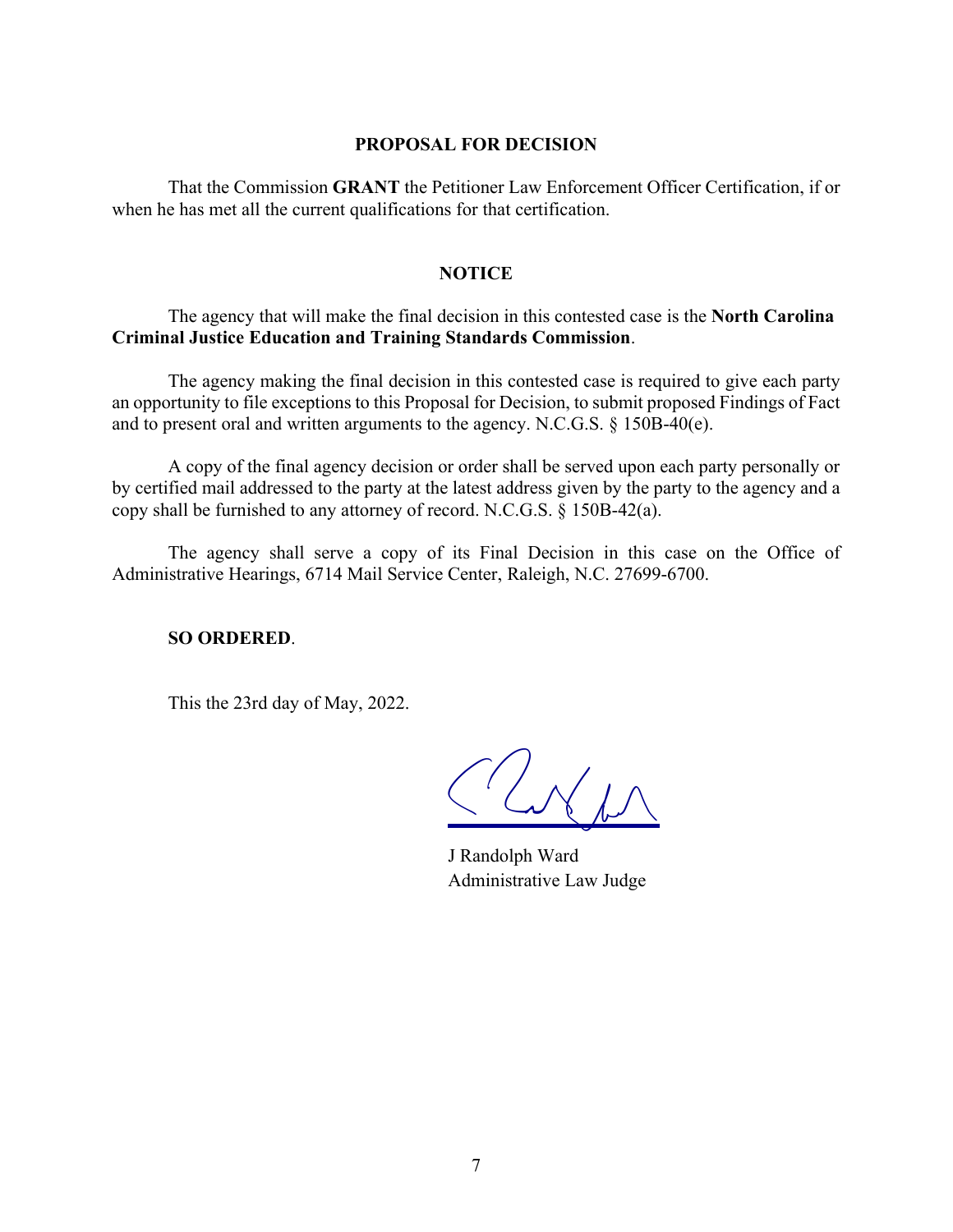## **PROPOSAL FOR DECISION**

That the Commission **GRANT** the Petitioner Law Enforcement Officer Certification, if or when he has met all the current qualifications for that certification.

## **NOTICE**

The agency that will make the final decision in this contested case is the **North Carolina Criminal Justice Education and Training Standards Commission**.

The agency making the final decision in this contested case is required to give each party an opportunity to file exceptions to this Proposal for Decision, to submit proposed Findings of Fact and to present oral and written arguments to the agency. N.C.G.S. § 150B-40(e).

A copy of the final agency decision or order shall be served upon each party personally or by certified mail addressed to the party at the latest address given by the party to the agency and a copy shall be furnished to any attorney of record. N.C.G.S. § 150B-42(a).

The agency shall serve a copy of its Final Decision in this case on the Office of Administrative Hearings, 6714 Mail Service Center, Raleigh, N.C. 27699-6700.

#### **SO ORDERED**.

This the 23rd day of May, 2022.

 $L$ N/ $L$ 

J Randolph Ward Administrative Law Judge